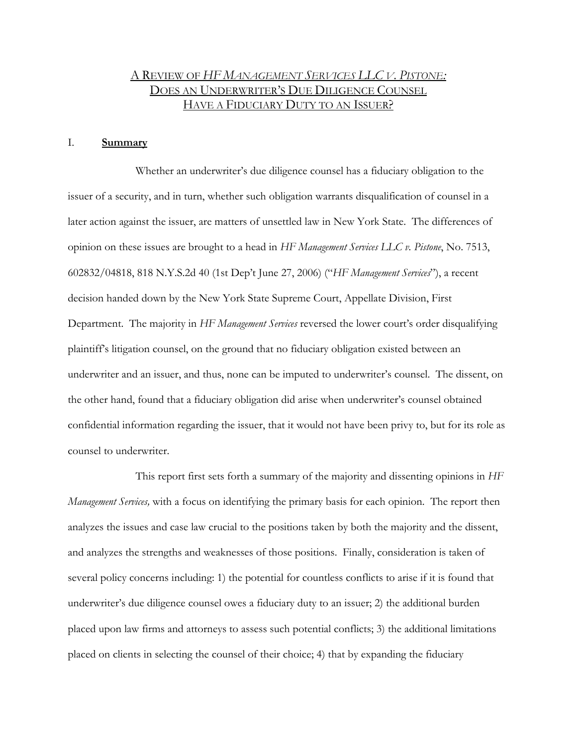# A REVIEW OF *HF MANAGEMENT SERVICES LLC V. PISTONE:* DOES AN UNDERWRITER'S DUE DILIGENCE COUNSEL HAVE A FIDUCIARY DUTY TO AN ISSUER?

#### I. **Summary**

Whether an underwriter's due diligence counsel has a fiduciary obligation to the issuer of a security, and in turn, whether such obligation warrants disqualification of counsel in a later action against the issuer, are matters of unsettled law in New York State. The differences of opinion on these issues are brought to a head in *HF Management Services LLC v. Pistone*, No. 7513, 602832/04818, 818 N.Y.S.2d 40 (1st Dep't June 27, 2006) ("*HF Management Services*"), a recent decision handed down by the New York State Supreme Court, Appellate Division, First Department. The majority in *HF Management Services* reversed the lower court's order disqualifying plaintiff's litigation counsel, on the ground that no fiduciary obligation existed between an underwriter and an issuer, and thus, none can be imputed to underwriter's counsel. The dissent, on the other hand, found that a fiduciary obligation did arise when underwriter's counsel obtained confidential information regarding the issuer, that it would not have been privy to, but for its role as counsel to underwriter.

This report first sets forth a summary of the majority and dissenting opinions in *HF Management Services,* with a focus on identifying the primary basis for each opinion. The report then analyzes the issues and case law crucial to the positions taken by both the majority and the dissent, and analyzes the strengths and weaknesses of those positions. Finally, consideration is taken of several policy concerns including: 1) the potential for countless conflicts to arise if it is found that underwriter's due diligence counsel owes a fiduciary duty to an issuer; 2) the additional burden placed upon law firms and attorneys to assess such potential conflicts; 3) the additional limitations placed on clients in selecting the counsel of their choice; 4) that by expanding the fiduciary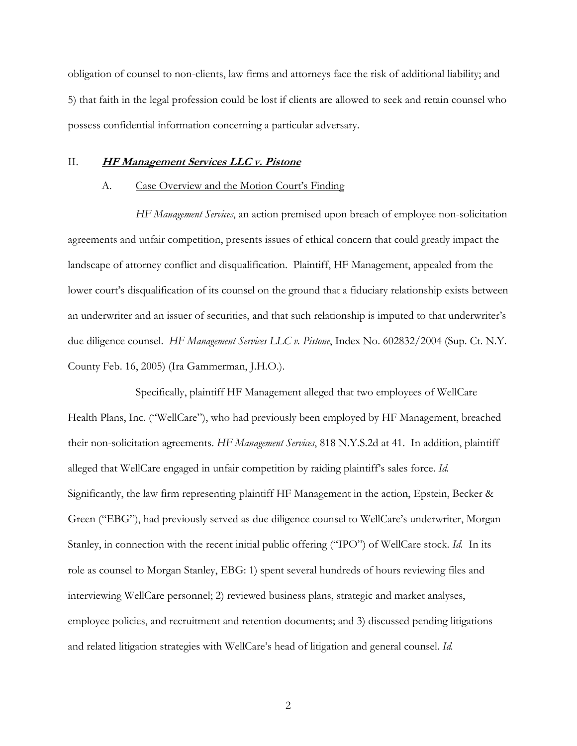obligation of counsel to non-clients, law firms and attorneys face the risk of additional liability; and 5) that faith in the legal profession could be lost if clients are allowed to seek and retain counsel who possess confidential information concerning a particular adversary.

### II. **HF Management Services LLC v. Pistone**

### A. Case Overview and the Motion Court's Finding

*HF Management Services*, an action premised upon breach of employee non-solicitation agreements and unfair competition, presents issues of ethical concern that could greatly impact the landscape of attorney conflict and disqualification. Plaintiff, HF Management, appealed from the lower court's disqualification of its counsel on the ground that a fiduciary relationship exists between an underwriter and an issuer of securities, and that such relationship is imputed to that underwriter's due diligence counsel. *HF Management Services LLC v. Pistone*, Index No. 602832/2004 (Sup. Ct. N.Y. County Feb. 16, 2005) (Ira Gammerman, J.H.O.).

Specifically, plaintiff HF Management alleged that two employees of WellCare Health Plans, Inc. ("WellCare"), who had previously been employed by HF Management, breached their non-solicitation agreements. *HF Management Services*, 818 N.Y.S.2d at 41. In addition, plaintiff alleged that WellCare engaged in unfair competition by raiding plaintiff's sales force. *Id.* Significantly, the law firm representing plaintiff HF Management in the action, Epstein, Becker & Green ("EBG"), had previously served as due diligence counsel to WellCare's underwriter, Morgan Stanley, in connection with the recent initial public offering ("IPO") of WellCare stock. *Id.* In its role as counsel to Morgan Stanley, EBG: 1) spent several hundreds of hours reviewing files and interviewing WellCare personnel; 2) reviewed business plans, strategic and market analyses, employee policies, and recruitment and retention documents; and 3) discussed pending litigations and related litigation strategies with WellCare's head of litigation and general counsel. *Id.*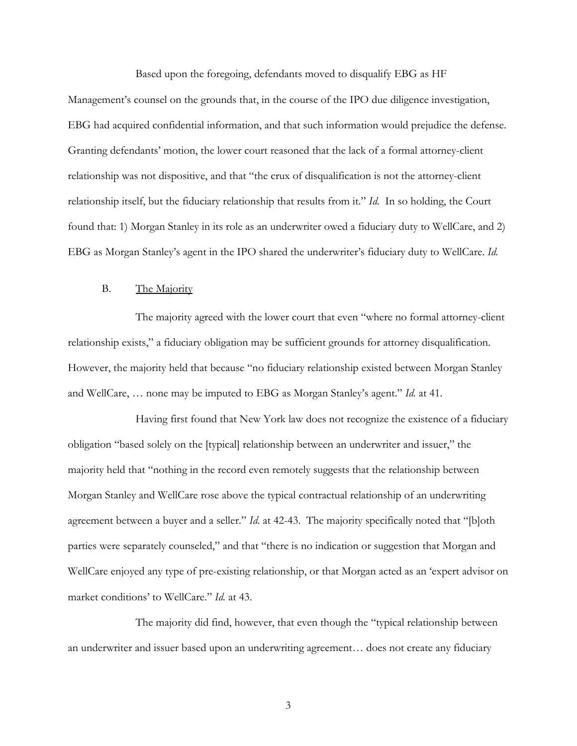Based upon the foregoing, defendants moved to disqualify EBG as HF

Management's counsel on the grounds that, in the course of the IPO due diligence investigation, EBG had acquired confidential information, and that such information would prejudice the defense. Granting defendants' motion, the lower court reasoned that the lack of a formal attorney-client relationship was not dispositive, and that "the crux of disqualification is not the attorney-client relationship itself, but the fiduciary relationship that results from it." *Id.* In so holding, the Court found that: 1) Morgan Stanley in its role as an underwriter owed a fiduciary duty to WellCare, and 2) EBG as Morgan Stanley's agent in the IPO shared the underwriter's fiduciary duty to WellCare. *Id.*

#### B. The Majority

The majority agreed with the lower court that even "where no formal attorney-client relationship exists," a fiduciary obligation may be sufficient grounds for attorney disqualification. However, the majority held that because "no fiduciary relationship existed between Morgan Stanley and WellCare, … none may be imputed to EBG as Morgan Stanley's agent." *Id.* at 41.

Having first found that New York law does not recognize the existence of a fiduciary obligation "based solely on the [typical] relationship between an underwriter and issuer," the majority held that "nothing in the record even remotely suggests that the relationship between Morgan Stanley and WellCare rose above the typical contractual relationship of an underwriting agreement between a buyer and a seller." *Id.* at 42-43. The majority specifically noted that "[b]oth parties were separately counseled," and that "there is no indication or suggestion that Morgan and WellCare enjoyed any type of pre-existing relationship, or that Morgan acted as an 'expert advisor on market conditions' to WellCare." *Id.* at 43.

The majority did find, however, that even though the "typical relationship between an underwriter and issuer based upon an underwriting agreement… does not create any fiduciary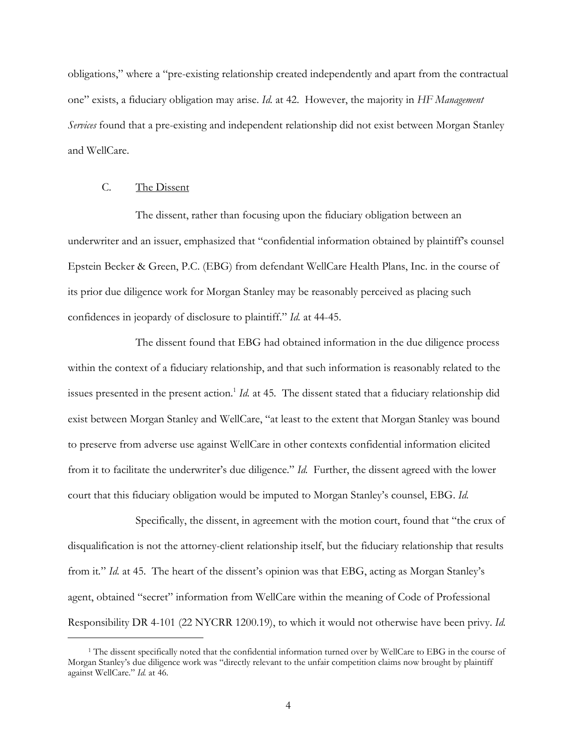obligations," where a "pre-existing relationship created independently and apart from the contractual one" exists, a fiduciary obligation may arise. *Id.* at 42. However, the majority in *HF Management Services* found that a pre-existing and independent relationship did not exist between Morgan Stanley and WellCare.

### C. The Dissent

-

The dissent, rather than focusing upon the fiduciary obligation between an underwriter and an issuer, emphasized that "confidential information obtained by plaintiff's counsel Epstein Becker & Green, P.C. (EBG) from defendant WellCare Health Plans, Inc. in the course of its prior due diligence work for Morgan Stanley may be reasonably perceived as placing such confidences in jeopardy of disclosure to plaintiff." *Id.* at 44-45.

The dissent found that EBG had obtained information in the due diligence process within the context of a fiduciary relationship, and that such information is reasonably related to the issues presented in the present action.<sup>1</sup> *Id.* at 45. The dissent stated that a fiduciary relationship did exist between Morgan Stanley and WellCare, "at least to the extent that Morgan Stanley was bound to preserve from adverse use against WellCare in other contexts confidential information elicited from it to facilitate the underwriter's due diligence." *Id.* Further, the dissent agreed with the lower court that this fiduciary obligation would be imputed to Morgan Stanley's counsel, EBG. *Id.* 

Specifically, the dissent, in agreement with the motion court, found that "the crux of disqualification is not the attorney-client relationship itself, but the fiduciary relationship that results from it*.*" *Id.* at 45. The heart of the dissent's opinion was that EBG, acting as Morgan Stanley's agent, obtained "secret" information from WellCare within the meaning of Code of Professional Responsibility DR 4-101 (22 NYCRR 1200.19), to which it would not otherwise have been privy. *Id.*

<sup>1</sup> The dissent specifically noted that the confidential information turned over by WellCare to EBG in the course of Morgan Stanley's due diligence work was "directly relevant to the unfair competition claims now brought by plaintiff against WellCare." *Id.* at 46.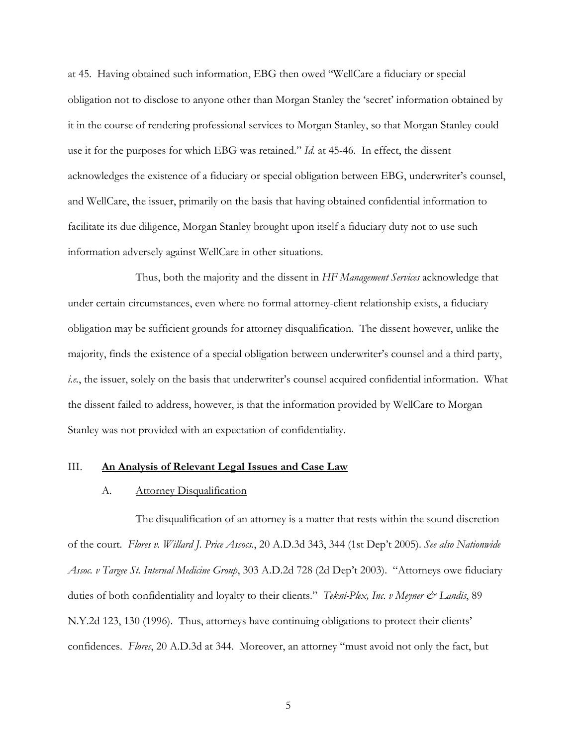at 45. Having obtained such information, EBG then owed "WellCare a fiduciary or special obligation not to disclose to anyone other than Morgan Stanley the 'secret' information obtained by it in the course of rendering professional services to Morgan Stanley, so that Morgan Stanley could use it for the purposes for which EBG was retained." *Id.* at 45-46. In effect, the dissent acknowledges the existence of a fiduciary or special obligation between EBG, underwriter's counsel, and WellCare, the issuer, primarily on the basis that having obtained confidential information to facilitate its due diligence, Morgan Stanley brought upon itself a fiduciary duty not to use such information adversely against WellCare in other situations.

Thus, both the majority and the dissent in *HF Management Services* acknowledge that under certain circumstances, even where no formal attorney-client relationship exists, a fiduciary obligation may be sufficient grounds for attorney disqualification. The dissent however, unlike the majority, finds the existence of a special obligation between underwriter's counsel and a third party, *i.e.*, the issuer, solely on the basis that underwriter's counsel acquired confidential information. What the dissent failed to address, however, is that the information provided by WellCare to Morgan Stanley was not provided with an expectation of confidentiality.

#### III. **An Analysis of Relevant Legal Issues and Case Law**

#### A. Attorney Disqualification

The disqualification of an attorney is a matter that rests within the sound discretion of the court. *Flores v. Willard J. Price Assocs.*, 20 A.D.3d 343, 344 (1st Dep't 2005). *See also Nationwide Assoc. v Targee St. Internal Medicine Group*, 303 A.D.2d 728 (2d Dep't 2003). "Attorneys owe fiduciary duties of both confidentiality and loyalty to their clients." *Tekni-Plex, Inc. v Meyner & Landis*, 89 N.Y.2d 123, 130 (1996). Thus, attorneys have continuing obligations to protect their clients' confidences. *Flores*, 20 A.D.3d at 344. Moreover, an attorney "must avoid not only the fact, but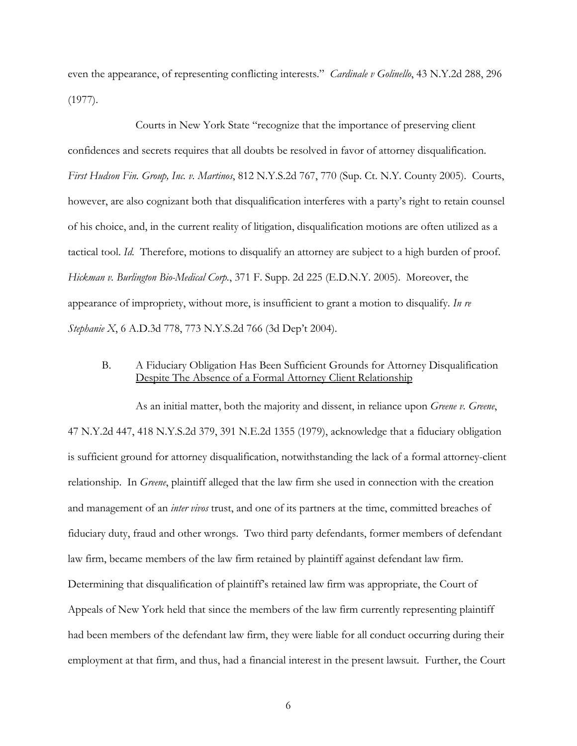even the appearance, of representing conflicting interests." *Cardinale v Golinello*, 43 N.Y.2d 288, 296 (1977).

Courts in New York State "recognize that the importance of preserving client confidences and secrets requires that all doubts be resolved in favor of attorney disqualification. *First Hudson Fin. Group, Inc. v. Martinos*, 812 N.Y.S.2d 767, 770 (Sup. Ct. N.Y. County 2005). Courts, however, are also cognizant both that disqualification interferes with a party's right to retain counsel of his choice, and, in the current reality of litigation, disqualification motions are often utilized as a tactical tool. *Id.* Therefore, motions to disqualify an attorney are subject to a high burden of proof. *Hickman v. Burlington Bio-Medical Corp.*, 371 F. Supp. 2d 225 (E.D.N.Y. 2005). Moreover, the appearance of impropriety, without more, is insufficient to grant a motion to disqualify. *In re Stephanie X*, 6 A.D.3d 778, 773 N.Y.S.2d 766 (3d Dep't 2004).

# B. A Fiduciary Obligation Has Been Sufficient Grounds for Attorney Disqualification Despite The Absence of a Formal Attorney Client Relationship

As an initial matter, both the majority and dissent, in reliance upon *Greene v. Greene*, 47 N.Y.2d 447, 418 N.Y.S.2d 379, 391 N.E.2d 1355 (1979), acknowledge that a fiduciary obligation is sufficient ground for attorney disqualification, notwithstanding the lack of a formal attorney-client relationship. In *Greene*, plaintiff alleged that the law firm she used in connection with the creation and management of an *inter vivos* trust, and one of its partners at the time, committed breaches of fiduciary duty, fraud and other wrongs. Two third party defendants, former members of defendant law firm, became members of the law firm retained by plaintiff against defendant law firm. Determining that disqualification of plaintiff's retained law firm was appropriate, the Court of Appeals of New York held that since the members of the law firm currently representing plaintiff had been members of the defendant law firm, they were liable for all conduct occurring during their employment at that firm, and thus, had a financial interest in the present lawsuit. Further, the Court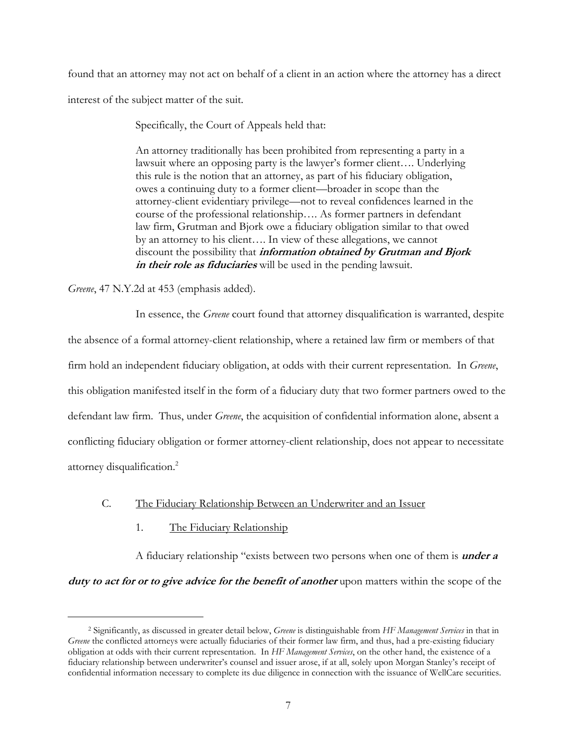found that an attorney may not act on behalf of a client in an action where the attorney has a direct interest of the subject matter of the suit.

Specifically, the Court of Appeals held that:

An attorney traditionally has been prohibited from representing a party in a lawsuit where an opposing party is the lawyer's former client…. Underlying this rule is the notion that an attorney, as part of his fiduciary obligation, owes a continuing duty to a former client—broader in scope than the attorney-client evidentiary privilege—not to reveal confidences learned in the course of the professional relationship…. As former partners in defendant law firm, Grutman and Bjork owe a fiduciary obligation similar to that owed by an attorney to his client…. In view of these allegations, we cannot discount the possibility that **information obtained by Grutman and Bjork in their role as fiduciaries** will be used in the pending lawsuit.

*Greene*, 47 N.Y.2d at 453 (emphasis added).

 $\overline{a}$ 

In essence, the *Greene* court found that attorney disqualification is warranted, despite the absence of a formal attorney-client relationship, where a retained law firm or members of that firm hold an independent fiduciary obligation, at odds with their current representation. In *Greene*, this obligation manifested itself in the form of a fiduciary duty that two former partners owed to the defendant law firm. Thus, under *Greene*, the acquisition of confidential information alone, absent a conflicting fiduciary obligation or former attorney-client relationship, does not appear to necessitate attorney disqualification.2

# C. The Fiduciary Relationship Between an Underwriter and an Issuer

1. The Fiduciary Relationship

A fiduciary relationship "exists between two persons when one of them is **under a** 

**duty to act for or to give advice for the benefit of another** upon matters within the scope of the

<sup>2</sup> Significantly, as discussed in greater detail below, *Greene* is distinguishable from *HF Management Services* in that in *Greene* the conflicted attorneys were actually fiduciaries of their former law firm, and thus, had a pre-existing fiduciary obligation at odds with their current representation. In *HF Management Services*, on the other hand, the existence of a fiduciary relationship between underwriter's counsel and issuer arose, if at all, solely upon Morgan Stanley's receipt of confidential information necessary to complete its due diligence in connection with the issuance of WellCare securities.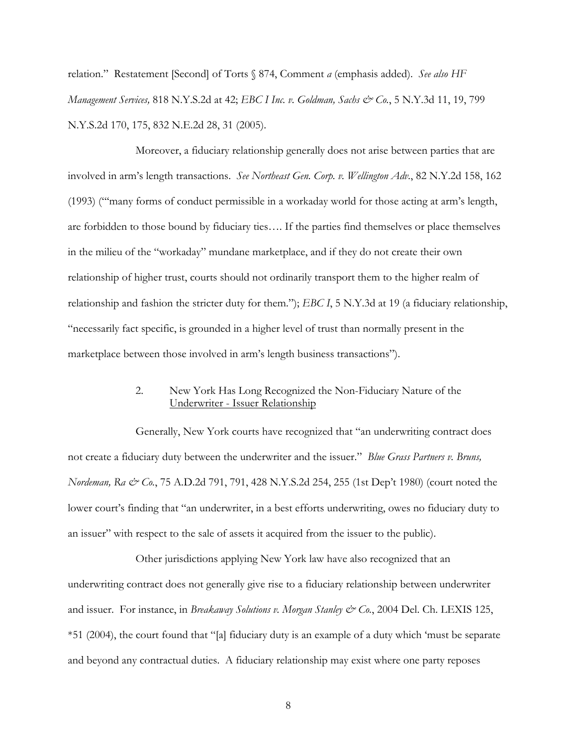relation." Restatement [Second] of Torts § 874, Comment *a* (emphasis added). *See also HF Management Services,* 818 N.Y.S.2d at 42; *EBC I Inc. v. Goldman, Sachs & Co.*, 5 N.Y.3d 11, 19, 799 N.Y.S.2d 170, 175, 832 N.E.2d 28, 31 (2005).

Moreover, a fiduciary relationship generally does not arise between parties that are involved in arm's length transactions. *See Northeast Gen. Corp. v. Wellington Adv.*, 82 N.Y.2d 158, 162 (1993) ("'many forms of conduct permissible in a workaday world for those acting at arm's length, are forbidden to those bound by fiduciary ties…. If the parties find themselves or place themselves in the milieu of the "workaday" mundane marketplace, and if they do not create their own relationship of higher trust, courts should not ordinarily transport them to the higher realm of relationship and fashion the stricter duty for them."); *EBC I*, 5 N.Y.3d at 19 (a fiduciary relationship, "necessarily fact specific, is grounded in a higher level of trust than normally present in the marketplace between those involved in arm's length business transactions").

# 2. New York Has Long Recognized the Non-Fiduciary Nature of the Underwriter - Issuer Relationship

Generally, New York courts have recognized that "an underwriting contract does not create a fiduciary duty between the underwriter and the issuer." *Blue Grass Partners v. Bruns, Nordeman, Ra & Co.*, 75 A.D.2d 791, 791, 428 N.Y.S.2d 254, 255 (1st Dep't 1980) (court noted the lower court's finding that "an underwriter, in a best efforts underwriting, owes no fiduciary duty to an issuer" with respect to the sale of assets it acquired from the issuer to the public).

Other jurisdictions applying New York law have also recognized that an underwriting contract does not generally give rise to a fiduciary relationship between underwriter and issuer. For instance, in *Breakaway Solutions v. Morgan Stanley & Co.*, 2004 Del. Ch. LEXIS 125, \*51 (2004), the court found that "[a] fiduciary duty is an example of a duty which 'must be separate and beyond any contractual duties. A fiduciary relationship may exist where one party reposes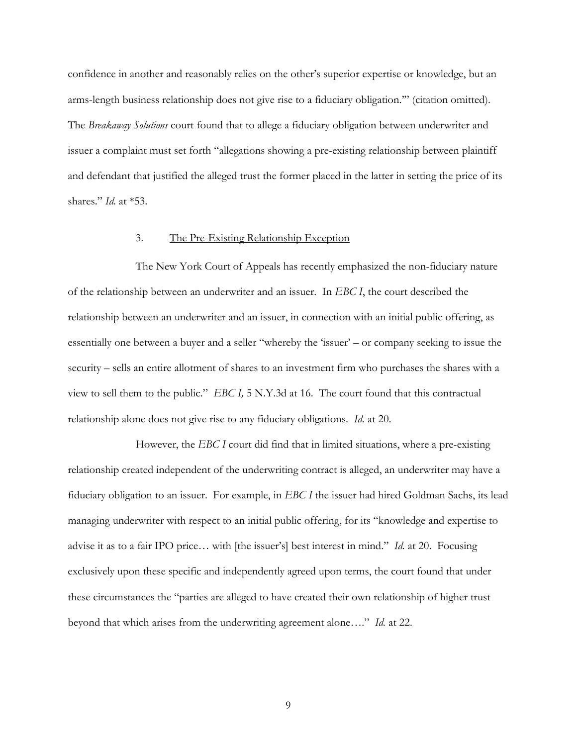confidence in another and reasonably relies on the other's superior expertise or knowledge, but an arms-length business relationship does not give rise to a fiduciary obligation.'" (citation omitted). The *Breakaway Solutions* court found that to allege a fiduciary obligation between underwriter and issuer a complaint must set forth "allegations showing a pre-existing relationship between plaintiff and defendant that justified the alleged trust the former placed in the latter in setting the price of its shares." *Id.* at \*53.

# 3. The Pre-Existing Relationship Exception

The New York Court of Appeals has recently emphasized the non-fiduciary nature of the relationship between an underwriter and an issuer. In *EBC I*, the court described the relationship between an underwriter and an issuer, in connection with an initial public offering, as essentially one between a buyer and a seller "whereby the 'issuer' – or company seeking to issue the security – sells an entire allotment of shares to an investment firm who purchases the shares with a view to sell them to the public." *EBC I,* 5 N.Y.3d at 16. The court found that this contractual relationship alone does not give rise to any fiduciary obligations. *Id.* at 20.

However, the *EBC I* court did find that in limited situations, where a pre-existing relationship created independent of the underwriting contract is alleged, an underwriter may have a fiduciary obligation to an issuer. For example, in *EBC I* the issuer had hired Goldman Sachs, its lead managing underwriter with respect to an initial public offering, for its "knowledge and expertise to advise it as to a fair IPO price… with [the issuer's] best interest in mind." *Id.* at 20. Focusing exclusively upon these specific and independently agreed upon terms, the court found that under these circumstances the "parties are alleged to have created their own relationship of higher trust beyond that which arises from the underwriting agreement alone…." *Id.* at 22.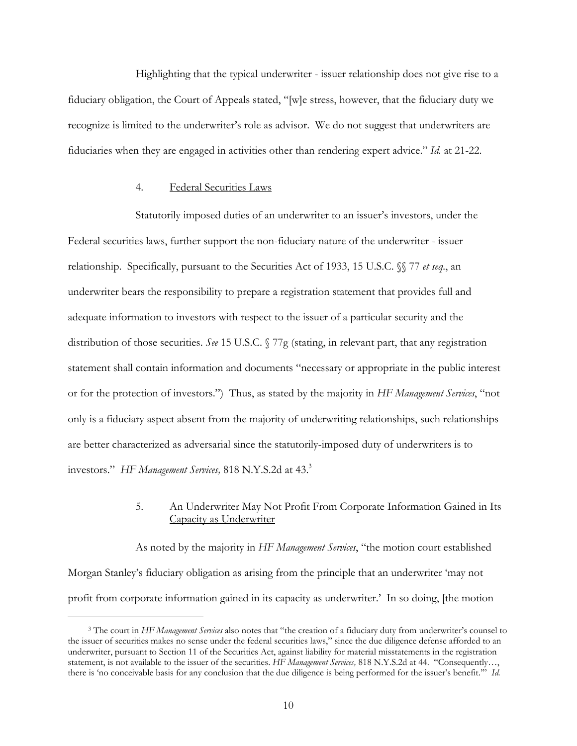Highlighting that the typical underwriter - issuer relationship does not give rise to a fiduciary obligation, the Court of Appeals stated, "[w]e stress, however, that the fiduciary duty we recognize is limited to the underwriter's role as advisor. We do not suggest that underwriters are fiduciaries when they are engaged in activities other than rendering expert advice." *Id.* at 21-22.

### 4. Federal Securities Laws

 $\overline{a}$ 

Statutorily imposed duties of an underwriter to an issuer's investors, under the Federal securities laws, further support the non-fiduciary nature of the underwriter - issuer relationship. Specifically, pursuant to the Securities Act of 1933, 15 U.S.C. §§ 77 *et seq.*, an underwriter bears the responsibility to prepare a registration statement that provides full and adequate information to investors with respect to the issuer of a particular security and the distribution of those securities. *See* 15 U.S.C. § 77g (stating, in relevant part, that any registration statement shall contain information and documents "necessary or appropriate in the public interest or for the protection of investors.") Thus, as stated by the majority in *HF Management Services*, "not only is a fiduciary aspect absent from the majority of underwriting relationships, such relationships are better characterized as adversarial since the statutorily-imposed duty of underwriters is to investors." *HF Management Services,* 818 N.Y.S.2d at 43.3

# 5. An Underwriter May Not Profit From Corporate Information Gained in Its Capacity as Underwriter

As noted by the majority in *HF Management Services*, "the motion court established Morgan Stanley's fiduciary obligation as arising from the principle that an underwriter 'may not profit from corporate information gained in its capacity as underwriter.' In so doing, [the motion

<sup>3</sup> The court in *HF Management Services* also notes that "the creation of a fiduciary duty from underwriter's counsel to the issuer of securities makes no sense under the federal securities laws," since the due diligence defense afforded to an underwriter, pursuant to Section 11 of the Securities Act, against liability for material misstatements in the registration statement, is not available to the issuer of the securities. *HF Management Services,* 818 N.Y.S.2d at 44. "Consequently…, there is 'no conceivable basis for any conclusion that the due diligence is being performed for the issuer's benefit.'" *Id.*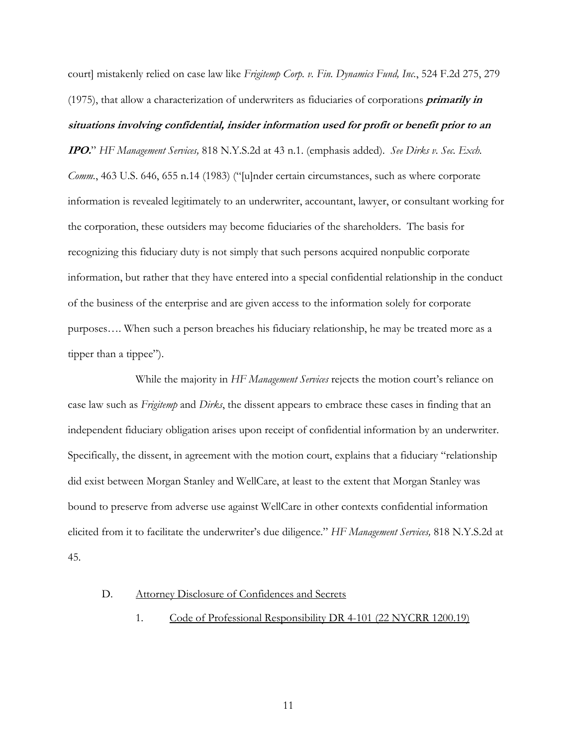court] mistakenly relied on case law like *Frigitemp Corp. v. Fin. Dynamics Fund, Inc.*, 524 F.2d 275, 279 (1975), that allow a characterization of underwriters as fiduciaries of corporations **primarily in situations involving confidential, insider information used for profit or benefit prior to an** 

**IPO.**" *HF Management Services,* 818 N.Y.S.2d at 43 n.1. (emphasis added). *See Dirks v. Sec. Exch. Comm.*, 463 U.S. 646, 655 n.14 (1983) ("[u]nder certain circumstances, such as where corporate information is revealed legitimately to an underwriter, accountant, lawyer, or consultant working for the corporation, these outsiders may become fiduciaries of the shareholders. The basis for recognizing this fiduciary duty is not simply that such persons acquired nonpublic corporate information, but rather that they have entered into a special confidential relationship in the conduct of the business of the enterprise and are given access to the information solely for corporate purposes…. When such a person breaches his fiduciary relationship, he may be treated more as a tipper than a tippee").

While the majority in *HF Management Services* rejects the motion court's reliance on case law such as *Frigitemp* and *Dirks*, the dissent appears to embrace these cases in finding that an independent fiduciary obligation arises upon receipt of confidential information by an underwriter. Specifically, the dissent, in agreement with the motion court, explains that a fiduciary "relationship did exist between Morgan Stanley and WellCare, at least to the extent that Morgan Stanley was bound to preserve from adverse use against WellCare in other contexts confidential information elicited from it to facilitate the underwriter's due diligence." *HF Management Services,* 818 N.Y.S.2d at 45.

#### D. Attorney Disclosure of Confidences and Secrets

1. Code of Professional Responsibility DR 4-101 (22 NYCRR 1200.19)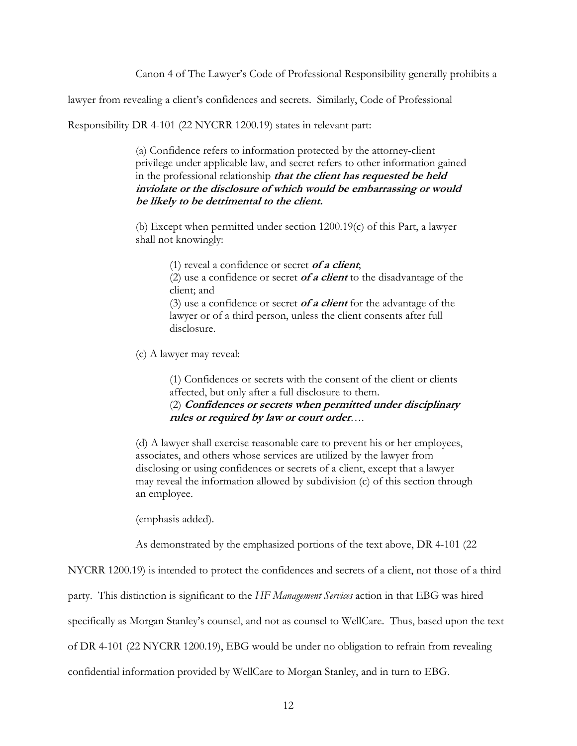Canon 4 of The Lawyer's Code of Professional Responsibility generally prohibits a

lawyer from revealing a client's confidences and secrets. Similarly, Code of Professional

Responsibility DR 4-101 (22 NYCRR 1200.19) states in relevant part:

(a) Confidence refers to information protected by the attorney-client privilege under applicable law, and secret refers to other information gained in the professional relationship **that the client has requested be held inviolate or the disclosure of which would be embarrassing or would be likely to be detrimental to the client.**

(b) Except when permitted under section 1200.19(c) of this Part, a lawyer shall not knowingly:

(1) reveal a confidence or secret **of a client**;

(2) use a confidence or secret **of a client** to the disadvantage of the client; and

(3) use a confidence or secret **of a client** for the advantage of the lawyer or of a third person, unless the client consents after full disclosure.

(c) A lawyer may reveal:

(1) Confidences or secrets with the consent of the client or clients affected, but only after a full disclosure to them. (2) **Confidences or secrets when permitted under disciplinary rules or required by law or court order**….

(d) A lawyer shall exercise reasonable care to prevent his or her employees, associates, and others whose services are utilized by the lawyer from disclosing or using confidences or secrets of a client, except that a lawyer may reveal the information allowed by subdivision (c) of this section through an employee.

(emphasis added).

As demonstrated by the emphasized portions of the text above, DR 4-101 (22

NYCRR 1200.19) is intended to protect the confidences and secrets of a client, not those of a third

party. This distinction is significant to the *HF Management Services* action in that EBG was hired

specifically as Morgan Stanley's counsel, and not as counsel to WellCare. Thus, based upon the text

of DR 4-101 (22 NYCRR 1200.19), EBG would be under no obligation to refrain from revealing

confidential information provided by WellCare to Morgan Stanley, and in turn to EBG.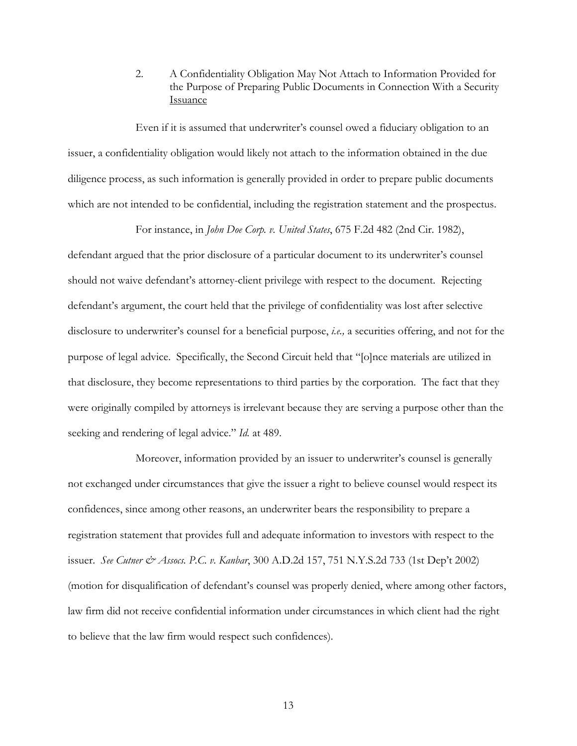2. A Confidentiality Obligation May Not Attach to Information Provided for the Purpose of Preparing Public Documents in Connection With a Security Issuance

Even if it is assumed that underwriter's counsel owed a fiduciary obligation to an issuer, a confidentiality obligation would likely not attach to the information obtained in the due diligence process, as such information is generally provided in order to prepare public documents which are not intended to be confidential, including the registration statement and the prospectus.

For instance, in *John Doe Corp. v. United States*, 675 F.2d 482 (2nd Cir. 1982),

defendant argued that the prior disclosure of a particular document to its underwriter's counsel should not waive defendant's attorney-client privilege with respect to the document. Rejecting defendant's argument, the court held that the privilege of confidentiality was lost after selective disclosure to underwriter's counsel for a beneficial purpose, *i.e.,* a securities offering, and not for the purpose of legal advice. Specifically, the Second Circuit held that "[o]nce materials are utilized in that disclosure, they become representations to third parties by the corporation. The fact that they were originally compiled by attorneys is irrelevant because they are serving a purpose other than the seeking and rendering of legal advice." *Id.* at 489.

Moreover, information provided by an issuer to underwriter's counsel is generally not exchanged under circumstances that give the issuer a right to believe counsel would respect its confidences, since among other reasons, an underwriter bears the responsibility to prepare a registration statement that provides full and adequate information to investors with respect to the issuer. *See Cutner & Assocs. P.C. v. Kanbar*, 300 A.D.2d 157, 751 N.Y.S.2d 733 (1st Dep't 2002) (motion for disqualification of defendant's counsel was properly denied, where among other factors, law firm did not receive confidential information under circumstances in which client had the right to believe that the law firm would respect such confidences).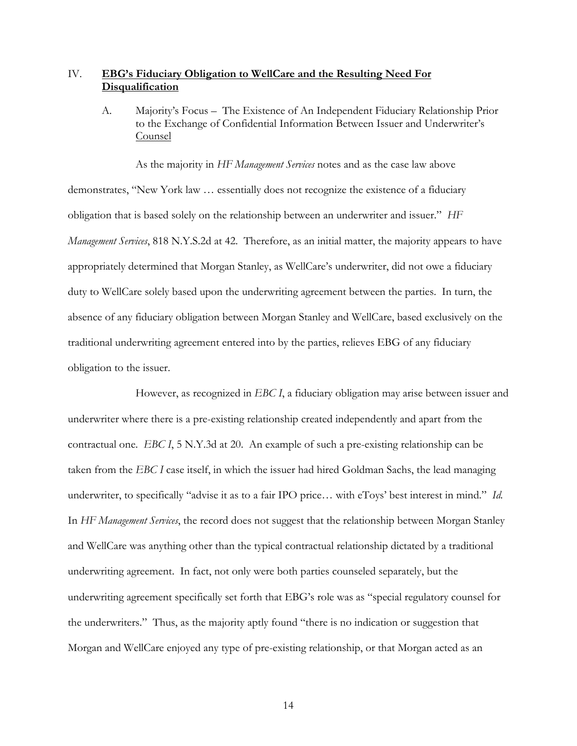# IV. **EBG's Fiduciary Obligation to WellCare and the Resulting Need For Disqualification**

A. Majority's Focus – The Existence of An Independent Fiduciary Relationship Prior to the Exchange of Confidential Information Between Issuer and Underwriter's Counsel

As the majority in *HF Management Services* notes and as the case law above demonstrates, "New York law … essentially does not recognize the existence of a fiduciary obligation that is based solely on the relationship between an underwriter and issuer." *HF Management Services*, 818 N.Y.S.2d at 42. Therefore, as an initial matter, the majority appears to have appropriately determined that Morgan Stanley, as WellCare's underwriter, did not owe a fiduciary duty to WellCare solely based upon the underwriting agreement between the parties. In turn, the absence of any fiduciary obligation between Morgan Stanley and WellCare, based exclusively on the traditional underwriting agreement entered into by the parties, relieves EBG of any fiduciary obligation to the issuer.

However, as recognized in *EBC I*, a fiduciary obligation may arise between issuer and underwriter where there is a pre-existing relationship created independently and apart from the contractual one. *EBC I*, 5 N.Y.3d at 20. An example of such a pre-existing relationship can be taken from the *EBC I* case itself, in which the issuer had hired Goldman Sachs, the lead managing underwriter, to specifically "advise it as to a fair IPO price… with eToys' best interest in mind." *Id.* In *HF Management Services*, the record does not suggest that the relationship between Morgan Stanley and WellCare was anything other than the typical contractual relationship dictated by a traditional underwriting agreement. In fact, not only were both parties counseled separately, but the underwriting agreement specifically set forth that EBG's role was as "special regulatory counsel for the underwriters." Thus, as the majority aptly found "there is no indication or suggestion that Morgan and WellCare enjoyed any type of pre-existing relationship, or that Morgan acted as an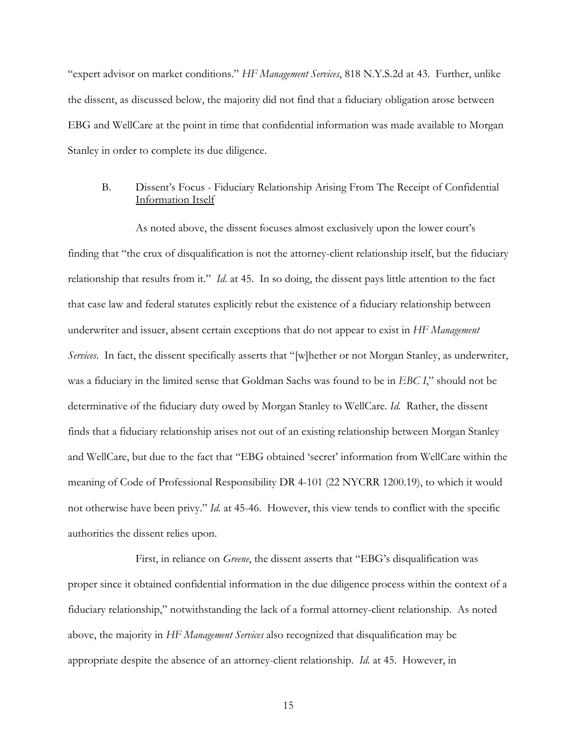"expert advisor on market conditions." *HF Management Services*, 818 N.Y.S.2d at 43. Further, unlike the dissent, as discussed below, the majority did not find that a fiduciary obligation arose between EBG and WellCare at the point in time that confidential information was made available to Morgan Stanley in order to complete its due diligence.

# B. Dissent's Focus - Fiduciary Relationship Arising From The Receipt of Confidential Information Itself

As noted above, the dissent focuses almost exclusively upon the lower court's finding that "the crux of disqualification is not the attorney-client relationship itself, but the fiduciary relationship that results from it." *Id*. at 45. In so doing, the dissent pays little attention to the fact that case law and federal statutes explicitly rebut the existence of a fiduciary relationship between underwriter and issuer, absent certain exceptions that do not appear to exist in *HF Management Services*. In fact, the dissent specifically asserts that "[w]hether or not Morgan Stanley, as underwriter, was a fiduciary in the limited sense that Goldman Sachs was found to be in *EBC I*," should not be determinative of the fiduciary duty owed by Morgan Stanley to WellCare. *Id.* Rather, the dissent finds that a fiduciary relationship arises not out of an existing relationship between Morgan Stanley and WellCare, but due to the fact that "EBG obtained 'secret' information from WellCare within the meaning of Code of Professional Responsibility DR 4-101 (22 NYCRR 1200.19), to which it would not otherwise have been privy." *Id.* at 45-46. However, this view tends to conflict with the specific authorities the dissent relies upon.

First, in reliance on *Greene*, the dissent asserts that "EBG's disqualification was proper since it obtained confidential information in the due diligence process within the context of a fiduciary relationship," notwithstanding the lack of a formal attorney-client relationship. As noted above, the majority in *HF Management Services* also recognized that disqualification may be appropriate despite the absence of an attorney-client relationship. *Id.* at 45. However, in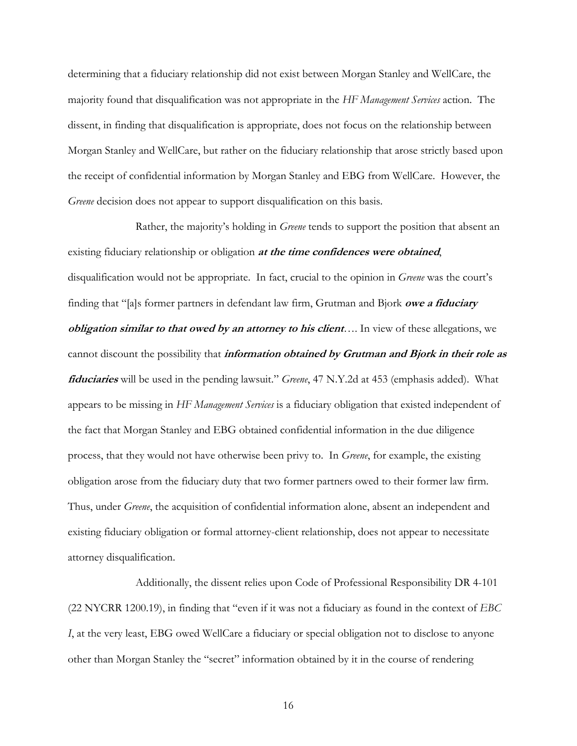determining that a fiduciary relationship did not exist between Morgan Stanley and WellCare, the majority found that disqualification was not appropriate in the *HF Management Services* action. The dissent, in finding that disqualification is appropriate, does not focus on the relationship between Morgan Stanley and WellCare, but rather on the fiduciary relationship that arose strictly based upon the receipt of confidential information by Morgan Stanley and EBG from WellCare. However, the *Greene* decision does not appear to support disqualification on this basis.

Rather, the majority's holding in *Greene* tends to support the position that absent an existing fiduciary relationship or obligation **at the time confidences were obtained**, disqualification would not be appropriate. In fact, crucial to the opinion in *Greene* was the court's finding that "[a]s former partners in defendant law firm, Grutman and Bjork **owe a fiduciary**  *obligation similar to that owed by an attorney to his client*…. In view of these allegations, we cannot discount the possibility that **information obtained by Grutman and Bjork in their role as fiduciaries** will be used in the pending lawsuit." *Greene*, 47 N.Y.2d at 453 (emphasis added). What appears to be missing in *HF Management Services* is a fiduciary obligation that existed independent of the fact that Morgan Stanley and EBG obtained confidential information in the due diligence process, that they would not have otherwise been privy to. In *Greene*, for example, the existing obligation arose from the fiduciary duty that two former partners owed to their former law firm. Thus, under *Greene*, the acquisition of confidential information alone, absent an independent and existing fiduciary obligation or formal attorney-client relationship, does not appear to necessitate attorney disqualification.

Additionally, the dissent relies upon Code of Professional Responsibility DR 4-101 (22 NYCRR 1200.19), in finding that "even if it was not a fiduciary as found in the context of *EBC I*, at the very least, EBG owed WellCare a fiduciary or special obligation not to disclose to anyone other than Morgan Stanley the "secret" information obtained by it in the course of rendering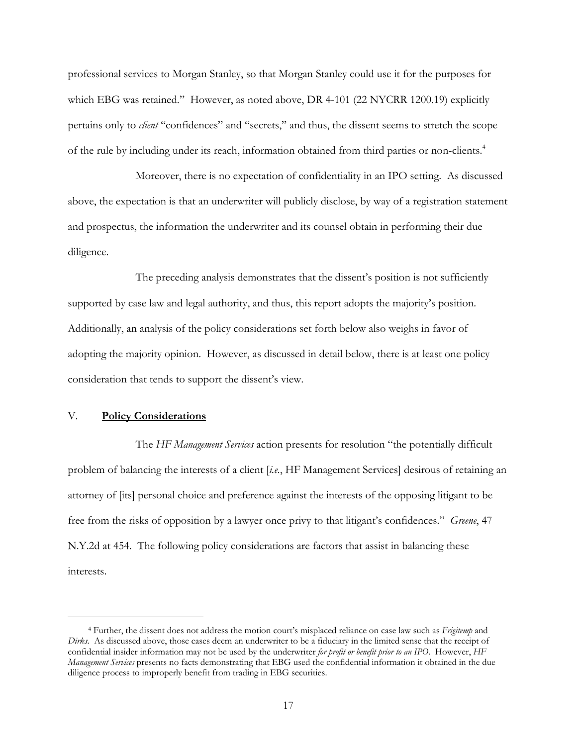professional services to Morgan Stanley, so that Morgan Stanley could use it for the purposes for which EBG was retained." However, as noted above, DR 4-101 (22 NYCRR 1200.19) explicitly pertains only to *client* "confidences" and "secrets," and thus, the dissent seems to stretch the scope of the rule by including under its reach, information obtained from third parties or non-clients.<sup>4</sup>

Moreover, there is no expectation of confidentiality in an IPO setting. As discussed above, the expectation is that an underwriter will publicly disclose, by way of a registration statement and prospectus, the information the underwriter and its counsel obtain in performing their due diligence.

The preceding analysis demonstrates that the dissent's position is not sufficiently supported by case law and legal authority, and thus, this report adopts the majority's position. Additionally, an analysis of the policy considerations set forth below also weighs in favor of adopting the majority opinion. However, as discussed in detail below, there is at least one policy consideration that tends to support the dissent's view.

### V. **Policy Considerations**

 $\overline{a}$ 

The *HF Management Services* action presents for resolution "the potentially difficult problem of balancing the interests of a client [*i.e.*, HF Management Services] desirous of retaining an attorney of [its] personal choice and preference against the interests of the opposing litigant to be free from the risks of opposition by a lawyer once privy to that litigant's confidences." *Greene*, 47 N.Y.2d at 454. The following policy considerations are factors that assist in balancing these interests.

<sup>4</sup> Further, the dissent does not address the motion court's misplaced reliance on case law such as *Frigitemp* and *Dirks*. As discussed above, those cases deem an underwriter to be a fiduciary in the limited sense that the receipt of confidential insider information may not be used by the underwriter *for profit or benefit prior to an IPO*. However, *HF Management Services* presents no facts demonstrating that EBG used the confidential information it obtained in the due diligence process to improperly benefit from trading in EBG securities.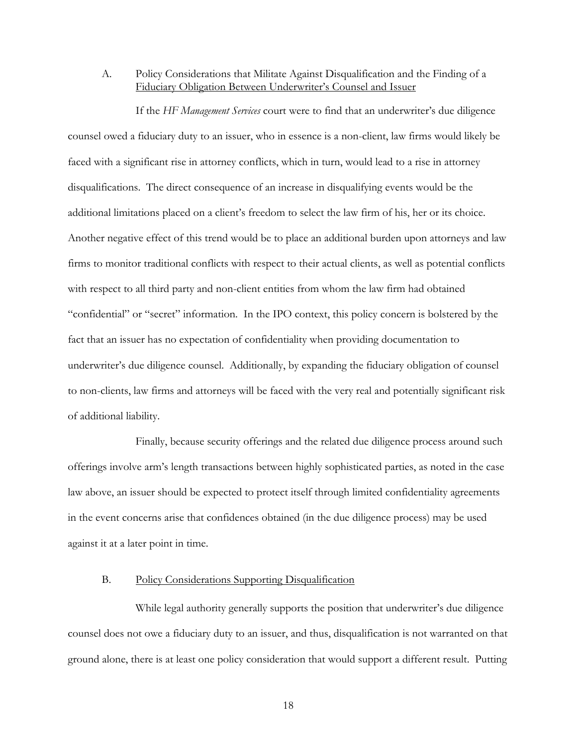A. Policy Considerations that Militate Against Disqualification and the Finding of a Fiduciary Obligation Between Underwriter's Counsel and Issuer

If the *HF Management Services* court were to find that an underwriter's due diligence counsel owed a fiduciary duty to an issuer, who in essence is a non-client, law firms would likely be faced with a significant rise in attorney conflicts, which in turn, would lead to a rise in attorney disqualifications. The direct consequence of an increase in disqualifying events would be the additional limitations placed on a client's freedom to select the law firm of his, her or its choice. Another negative effect of this trend would be to place an additional burden upon attorneys and law firms to monitor traditional conflicts with respect to their actual clients, as well as potential conflicts with respect to all third party and non-client entities from whom the law firm had obtained "confidential" or "secret" information. In the IPO context, this policy concern is bolstered by the fact that an issuer has no expectation of confidentiality when providing documentation to underwriter's due diligence counsel. Additionally, by expanding the fiduciary obligation of counsel to non-clients, law firms and attorneys will be faced with the very real and potentially significant risk of additional liability.

Finally, because security offerings and the related due diligence process around such offerings involve arm's length transactions between highly sophisticated parties, as noted in the case law above, an issuer should be expected to protect itself through limited confidentiality agreements in the event concerns arise that confidences obtained (in the due diligence process) may be used against it at a later point in time.

# B. Policy Considerations Supporting Disqualification

While legal authority generally supports the position that underwriter's due diligence counsel does not owe a fiduciary duty to an issuer, and thus, disqualification is not warranted on that ground alone, there is at least one policy consideration that would support a different result. Putting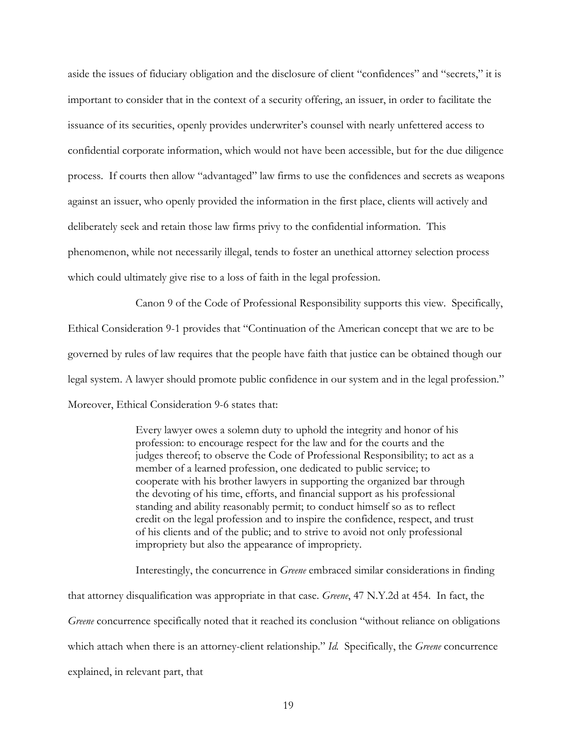aside the issues of fiduciary obligation and the disclosure of client "confidences" and "secrets," it is important to consider that in the context of a security offering, an issuer, in order to facilitate the issuance of its securities, openly provides underwriter's counsel with nearly unfettered access to confidential corporate information, which would not have been accessible, but for the due diligence process. If courts then allow "advantaged" law firms to use the confidences and secrets as weapons against an issuer, who openly provided the information in the first place, clients will actively and deliberately seek and retain those law firms privy to the confidential information. This phenomenon, while not necessarily illegal, tends to foster an unethical attorney selection process which could ultimately give rise to a loss of faith in the legal profession.

Canon 9 of the Code of Professional Responsibility supports this view. Specifically, Ethical Consideration 9-1 provides that "Continuation of the American concept that we are to be governed by rules of law requires that the people have faith that justice can be obtained though our legal system. A lawyer should promote public confidence in our system and in the legal profession." Moreover, Ethical Consideration 9-6 states that:

> Every lawyer owes a solemn duty to uphold the integrity and honor of his profession: to encourage respect for the law and for the courts and the judges thereof; to observe the Code of Professional Responsibility; to act as a member of a learned profession, one dedicated to public service; to cooperate with his brother lawyers in supporting the organized bar through the devoting of his time, efforts, and financial support as his professional standing and ability reasonably permit; to conduct himself so as to reflect credit on the legal profession and to inspire the confidence, respect, and trust of his clients and of the public; and to strive to avoid not only professional impropriety but also the appearance of impropriety.

Interestingly, the concurrence in *Greene* embraced similar considerations in finding that attorney disqualification was appropriate in that case. *Greene*, 47 N.Y.2d at 454. In fact, the *Greene* concurrence specifically noted that it reached its conclusion "without reliance on obligations which attach when there is an attorney-client relationship." *Id.* Specifically, the *Greene* concurrence explained, in relevant part, that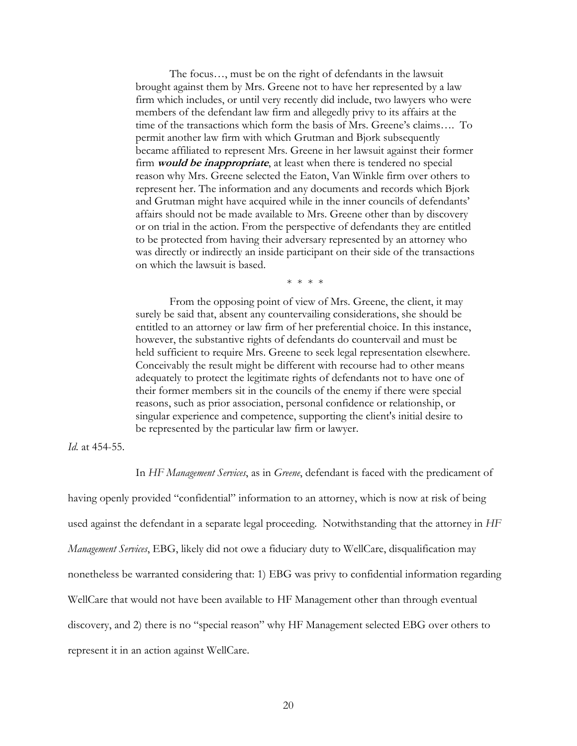The focus…, must be on the right of defendants in the lawsuit brought against them by Mrs. Greene not to have her represented by a law firm which includes, or until very recently did include, two lawyers who were members of the defendant law firm and allegedly privy to its affairs at the time of the transactions which form the basis of Mrs. Greene's claims…. To permit another law firm with which Grutman and Bjork subsequently became affiliated to represent Mrs. Greene in her lawsuit against their former firm **would be inappropriate**, at least when there is tendered no special reason why Mrs. Greene selected the Eaton, Van Winkle firm over others to represent her. The information and any documents and records which Bjork and Grutman might have acquired while in the inner councils of defendants' affairs should not be made available to Mrs. Greene other than by discovery or on trial in the action. From the perspective of defendants they are entitled to be protected from having their adversary represented by an attorney who was directly or indirectly an inside participant on their side of the transactions on which the lawsuit is based.

\* \* \* \*

From the opposing point of view of Mrs. Greene, the client, it may surely be said that, absent any countervailing considerations, she should be entitled to an attorney or law firm of her preferential choice. In this instance, however, the substantive rights of defendants do countervail and must be held sufficient to require Mrs. Greene to seek legal representation elsewhere. Conceivably the result might be different with recourse had to other means adequately to protect the legitimate rights of defendants not to have one of their former members sit in the councils of the enemy if there were special reasons, such as prior association, personal confidence or relationship, or singular experience and competence, supporting the client's initial desire to be represented by the particular law firm or lawyer.

#### *Id.* at 454-55.

In *HF Management Services*, as in *Greene*, defendant is faced with the predicament of

having openly provided "confidential" information to an attorney, which is now at risk of being used against the defendant in a separate legal proceeding. Notwithstanding that the attorney in *HF Management Services*, EBG, likely did not owe a fiduciary duty to WellCare, disqualification may nonetheless be warranted considering that: 1) EBG was privy to confidential information regarding WellCare that would not have been available to HF Management other than through eventual discovery, and 2) there is no "special reason" why HF Management selected EBG over others to represent it in an action against WellCare.